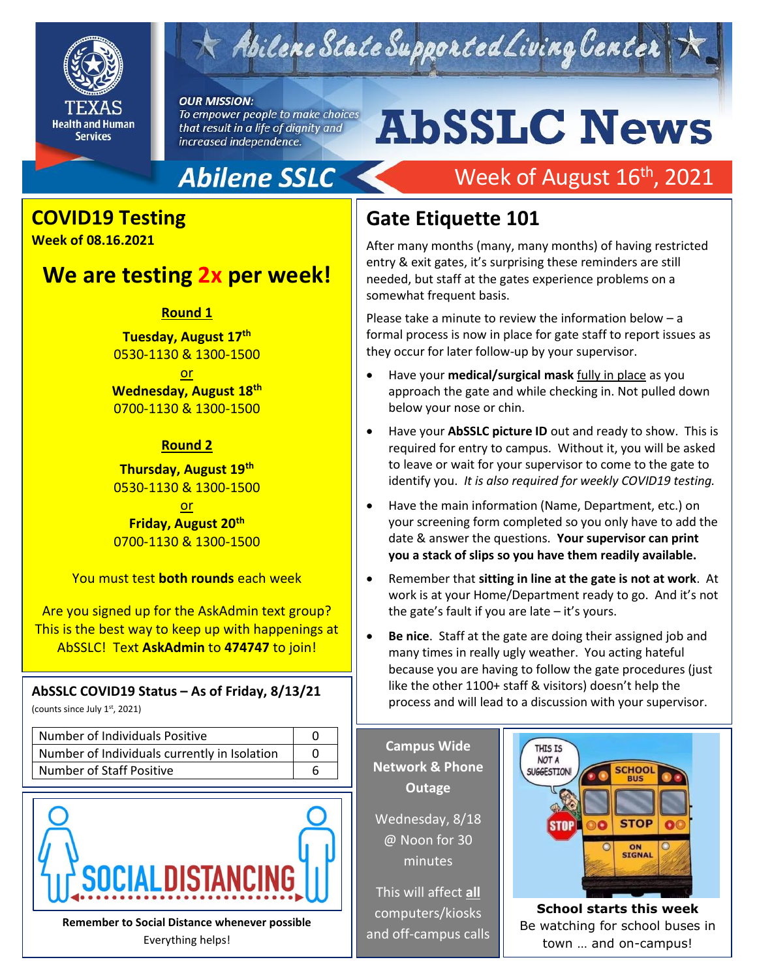

## Abilene State Supported Living Center

#### **OUR MISSION:**

To empower people to make choices that result in a life of dignity and increased independence.

# **AbSSLC News**

Week of August 16<sup>th</sup>, 2021

## **Abilene SSLC**

## **COVID19 Testing**

**Week of 08.16.2021** 

## **We are testing 2x per week!**

#### **Round 1**

**Tuesday, August 17th** 0530-1130 & 1300-1500

or **Wednesday, August 18th** 0700-1130 & 1300-1500

#### **Round 2**

**Thursday, August 19th** 0530-1130 & 1300-1500

or **Friday, August 20th** 0700-1130 & 1300-1500

You must test **both rounds** each week

Are you signed up for the AskAdmin text group? This is the best way to keep up with happenings at AbSSLC! Text **AskAdmin** to **474747** to join!

#### **AbSSLC COVID19 Status – As of Friday, 8/13/21**

(counts since July 1st, 2021)

| Number of Individuals Positive               |  |
|----------------------------------------------|--|
| Number of Individuals currently in Isolation |  |
| <b>Number of Staff Positive</b>              |  |



**Remember to Social Distance whenever possible** Everything helps!

## **Gate Etiquette 101**

After many months (many, many months) of having restricted entry & exit gates, it's surprising these reminders are still needed, but staff at the gates experience problems on a somewhat frequent basis.

Please take a minute to review the information below – a formal process is now in place for gate staff to report issues as they occur for later follow-up by your supervisor.

- Have your **medical/surgical mask** fully in place as you approach the gate and while checking in. Not pulled down below your nose or chin.
- identify you. *It is also required for weekly COVID19 testing.*<br>. • Have your **AbSSLC picture ID** out and ready to show. This is required for entry to campus. Without it, you will be asked to leave or wait for your supervisor to come to the gate to
- Have the main information (Name, Department, etc.) on your screening form completed so you only have to add the date & answer the questions. **Your supervisor can print you a stack of slips so you have them readily available.**
- Remember that **sitting in line at the gate is not at work**. At work is at your Home/Department ready to go. And it's not the gate's fault if you are late  $-$  it's yours.
- **Be nice**. Staff at the gate are doing their assigned job and many times in really ugly weather. You acting hateful because you are having to follow the gate procedures (just like the other 1100+ staff & visitors) doesn't help the process and will lead to a discussion with your supervisor.